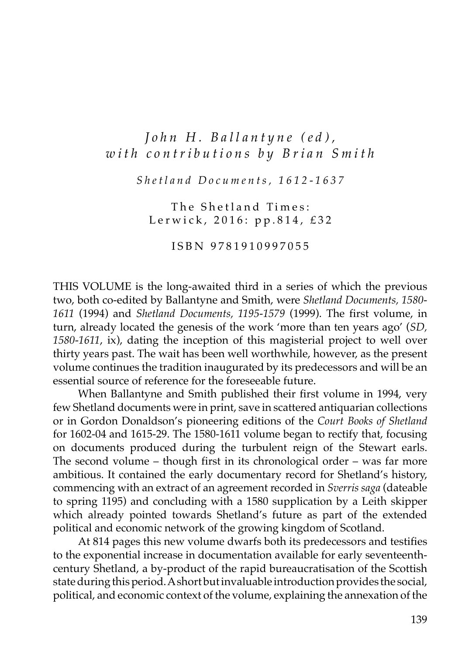## *John H. Ballantyne (ed), with contributions by Brian Smith*

*Shetland Documents, 1612-1637*

The Shetland Times: Lerwick, 2016: pp.814, £32

ISBN 9781910997055

THIS VOLUME is the long-awaited third in a series of which the previous two, both co-edited by Ballantyne and Smith, were *Shetland Documents, 1580- 1611* (1994) and *Shetland Documents, 1195-1579* (1999). The first volume, in turn, already located the genesis of the work ʻmore than ten years ago' (*SD, 1580-1611*, ix), dating the inception of this magisterial project to well over thirty years past. The wait has been well worthwhile, however, as the present volume continues the tradition inaugurated by its predecessors and will be an essential source of reference for the foreseeable future.

When Ballantyne and Smith published their first volume in 1994, very few Shetland documents were in print, save in scattered antiquarian collections or in Gordon Donaldson's pioneering editions of the *Court Books of Shetland* for 1602-04 and 1615-29. The 1580-1611 volume began to rectify that, focusing on documents produced during the turbulent reign of the Stewart earls. The second volume – though first in its chronological order – was far more ambitious. It contained the early documentary record for Shetland's history, commencing with an extract of an agreement recorded in *Sverris saga* (dateable to spring 1195) and concluding with a 1580 supplication by a Leith skipper which already pointed towards Shetland's future as part of the extended political and economic network of the growing kingdom of Scotland.

At 814 pages this new volume dwarfs both its predecessors and testifies to the exponential increase in documentation available for early seventeenthcentury Shetland, a by-product of the rapid bureaucratisation of the Scottish state during this period. A short but invaluable introduction provides the social, political, and economic context of the volume, explaining the annexation of the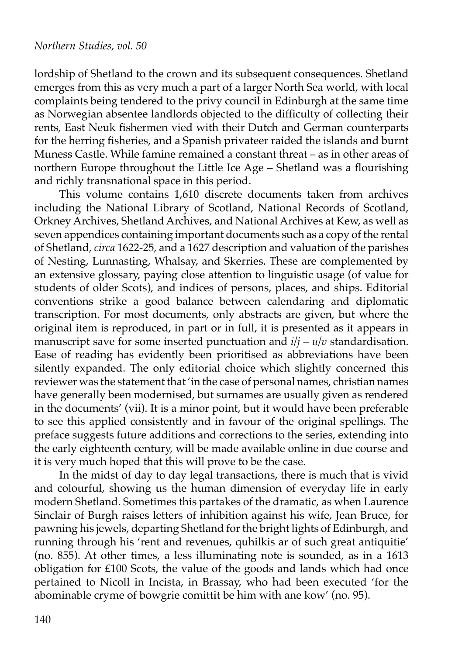lordship of Shetland to the crown and its subsequent consequences. Shetland emerges from this as very much a part of a larger North Sea world, with local complaints being tendered to the privy council in Edinburgh at the same time as Norwegian absentee landlords objected to the difficulty of collecting their rents, East Neuk fishermen vied with their Dutch and German counterparts for the herring fisheries, and a Spanish privateer raided the islands and burnt Muness Castle. While famine remained a constant threat – as in other areas of northern Europe throughout the Little Ice Age – Shetland was a flourishing and richly transnational space in this period.

This volume contains 1,610 discrete documents taken from archives including the National Library of Scotland, National Records of Scotland, Orkney Archives, Shetland Archives, and National Archives at Kew, as well as seven appendices containing important documents such as a copy of the rental of Shetland, *circa* 1622-25, and a 1627 description and valuation of the parishes of Nesting, Lunnasting, Whalsay, and Skerries. These are complemented by an extensive glossary, paying close attention to linguistic usage (of value for students of older Scots), and indices of persons, places, and ships. Editorial conventions strike a good balance between calendaring and diplomatic transcription. For most documents, only abstracts are given, but where the original item is reproduced, in part or in full, it is presented as it appears in manuscript save for some inserted punctuation and  $i/j - u/v$  standardisation. Ease of reading has evidently been prioritised as abbreviations have been silently expanded. The only editorial choice which slightly concerned this reviewer was the statement that ʻin the case of personal names, christian names have generally been modernised, but surnames are usually given as rendered in the documents' (vii). It is a minor point, but it would have been preferable to see this applied consistently and in favour of the original spellings. The preface suggests future additions and corrections to the series, extending into the early eighteenth century, will be made available online in due course and it is very much hoped that this will prove to be the case.

In the midst of day to day legal transactions, there is much that is vivid and colourful, showing us the human dimension of everyday life in early modern Shetland. Sometimes this partakes of the dramatic, as when Laurence Sinclair of Burgh raises letters of inhibition against his wife, Jean Bruce, for pawning his jewels, departing Shetland for the bright lights of Edinburgh, and running through his ʻrent and revenues, quhilkis ar of such great antiquitie' (no. 855). At other times, a less illuminating note is sounded, as in a 1613 obligation for £100 Scots, the value of the goods and lands which had once pertained to Nicoll in Incista, in Brassay, who had been executed ʻfor the abominable cryme of bowgrie comittit be him with ane kow' (no. 95).